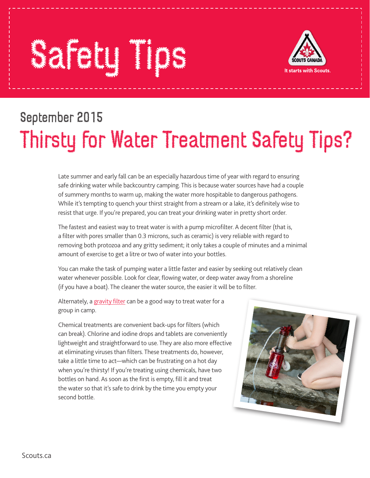## Safety Times Times Times and the Contractors of the Contractors of the Contractors of the Contractors of the Con



## September 2015 Thirsty for Water Treatment Safety Tips?

Late summer and early fall can be an especially hazardous time of year with regard to ensuring safe drinking water while backcountry camping. This is because water sources have had a couple of summery months to warm up, making the water more hospitable to dangerous pathogens. While it's tempting to quench your thirst straight from a stream or a lake, it's definitely wise to resist that urge. If you're prepared, you can treat your drinking water in pretty short order.

The fastest and easiest way to treat water is with a pump microfilter. A decent filter (that is, a filter with pores smaller than 0.3 microns, such as ceramic) is very reliable with regard to removing both protozoa and any gritty sediment; it only takes a couple of minutes and a minimal amount of exercise to get a litre or two of water into your bottles.

You can make the task of pumping water a little faster and easier by seeking out relatively clean water whenever possible. Look for clear, flowing water, or deep water away from a shoreline (if you have a boat). The cleaner the water source, the easier it will be to filter.

Alternately, a gravity filter can be a good way to treat water for a group in camp.

Chemical treatments are convenient back-ups for filters (which can break). Chlorine and iodine drops and tablets are conveniently lightweight and straightforward to use. They are also more effective at eliminating viruses than filters. These treatments do, however, take a little time to act—which can be frustrating on a hot day when you're thirsty! If you're treating using chemicals, have two bottles on hand. As soon as the first is empty, fill it and treat the water so that it's safe to drink by the time you empty your second bottle.